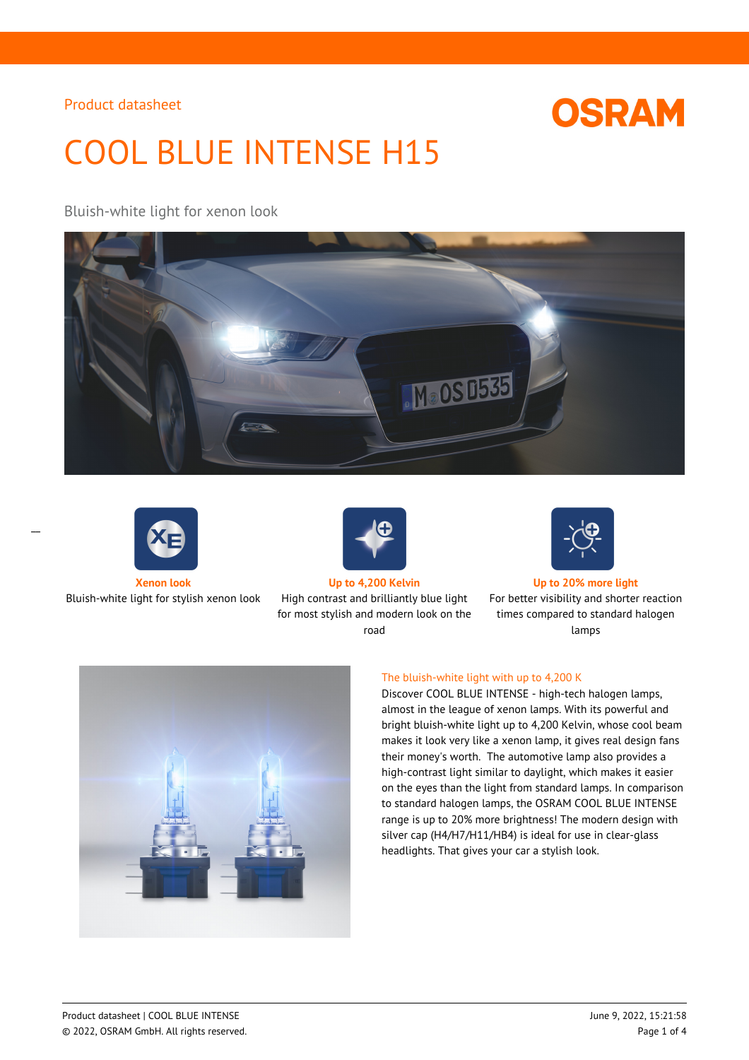# **OSRAM**

# COOL BLUE INTENSE H15

# Bluish-white light for xenon look





 $\overline{a}$ 

Bluish-white light for stylish xenon look High contrast and brilliantly blue light



for most stylish and modern look on the road



#### **Xenon look Up to 4,200 Kelvin Up to 20% more light**

For better visibility and shorter reaction times compared to standard halogen lamps



#### The bluish-white light with up to 4,200 K

Discover COOL BLUE INTENSE - high-tech halogen lamps, almost in the league of xenon lamps. With its powerful and bright bluish-white light up to 4,200 Kelvin, whose cool beam makes it look very like a xenon lamp, it gives real design fans their money's worth. The automotive lamp also provides a high-contrast light similar to daylight, which makes it easier on the eyes than the light from standard lamps. In comparison to standard halogen lamps, the OSRAM COOL BLUE INTENSE range is up to 20% more brightness! The modern design with silver cap (H4/H7/H11/HB4) is ideal for use in clear-glass headlights. That gives your car a stylish look.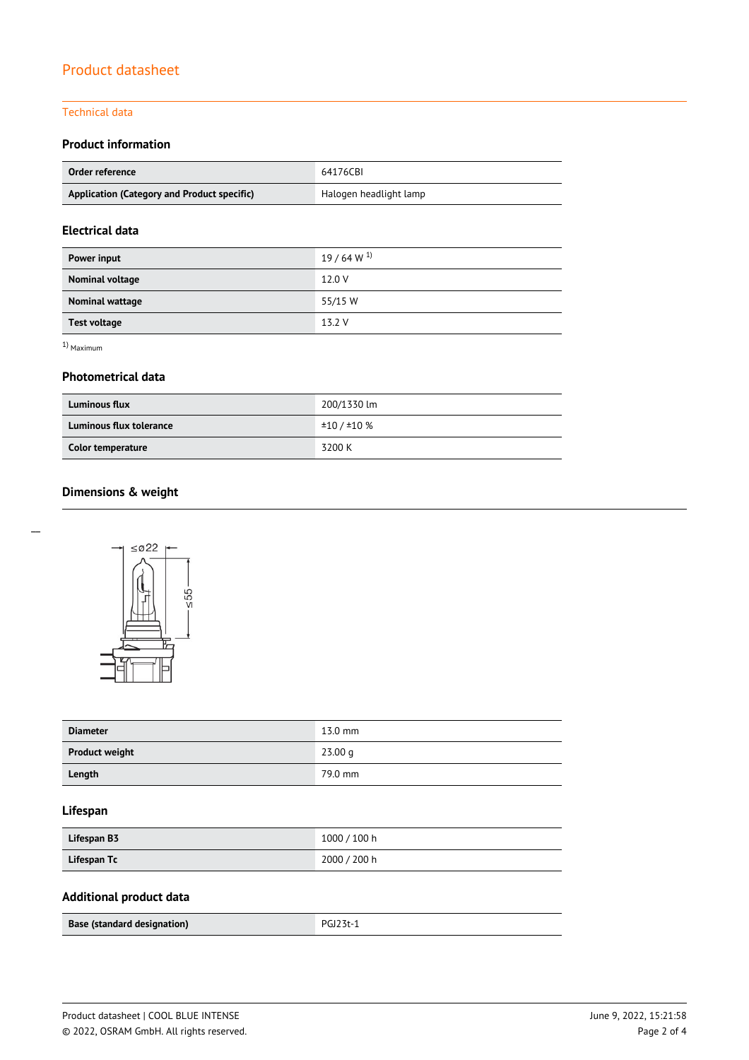#### Technical data

# **Product information**

| Order reference                             | 64176CBI               |  |
|---------------------------------------------|------------------------|--|
| Application (Category and Product specific) | Halogen headlight lamp |  |

# **Electrical data**

| Power input            | $19/64 W^{1}$ |
|------------------------|---------------|
| Nominal voltage        | 12.0 V        |
| <b>Nominal wattage</b> | 55/15 W       |
| <b>Test voltage</b>    | 13.2 V        |

1) Maximum

### **Photometrical data**

| <b>Luminous flux</b>    | 200/1330 lm |
|-------------------------|-------------|
| Luminous flux tolerance | ±10 / ±10 % |
| Color temperature       | 3200 K      |

# **Dimensions & weight**



| <b>Diameter</b>       | $13.0$ mm |
|-----------------------|-----------|
| <b>Product weight</b> | 23.00 g   |
| Length                | 79.0 mm   |

# **Lifespan**

| Lifespan B3 | 1000 / 100 h |
|-------------|--------------|
| Lifespan Tc | 2000 / 200 h |

# **Additional product data**

| Base (standard designation) | PGI23t-1 |
|-----------------------------|----------|
|                             |          |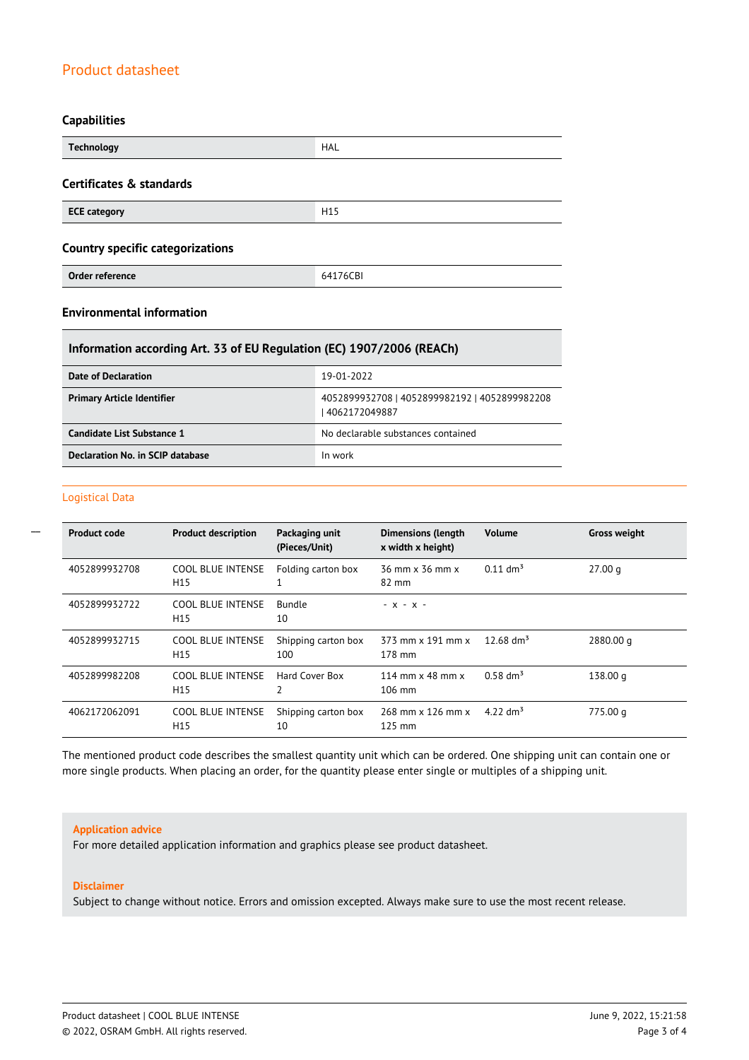#### **Capabilities**

| <b>Technology</b>                       | HAL             |  |  |
|-----------------------------------------|-----------------|--|--|
| Certificates & standards                |                 |  |  |
| <b>ECE category</b>                     | H <sub>15</sub> |  |  |
| <b>Country specific categorizations</b> |                 |  |  |
| Order reference                         | 64176CBI        |  |  |

### **Environmental information**

### **Information according Art. 33 of EU Regulation (EC) 1907/2006 (REACh)**

| Date of Declaration               | 19-01-2022                                                       |
|-----------------------------------|------------------------------------------------------------------|
| <b>Primary Article Identifier</b> | 4052899932708   4052899982192   4052899982208<br>  4062172049887 |
| Candidate List Substance 1        | No declarable substances contained                               |
| Declaration No. in SCIP database  | In work                                                          |

#### Logistical Data

 $\overline{a}$ 

| <b>Product code</b> | <b>Product description</b>                  | Packaging unit<br>(Pieces/Unit) | <b>Dimensions (length</b><br>x width x height) | <b>Volume</b>          | <b>Gross weight</b> |
|---------------------|---------------------------------------------|---------------------------------|------------------------------------------------|------------------------|---------------------|
| 4052899932708       | <b>COOL BLUE INTENSE</b><br>H <sub>15</sub> | Folding carton box              | 36 mm x 36 mm x<br>82 mm                       | $0.11$ dm <sup>3</sup> | 27.00 <sub>a</sub>  |
| 4052899932722       | COOL BLUE INTENSE<br>H <sub>15</sub>        | <b>Bundle</b><br>10             | $- X - X -$                                    |                        |                     |
| 4052899932715       | <b>COOL BLUE INTENSE</b><br>H <sub>15</sub> | Shipping carton box<br>100      | 373 mm x 191 mm x<br>178 mm                    | 12.68 dm <sup>3</sup>  | 2880.00 g           |
| 4052899982208       | <b>COOL BLUE INTENSE</b><br>H <sub>15</sub> | Hard Cover Box<br>2             | 114 mm $\times$ 48 mm $\times$<br>$106$ mm     | $0.58 \text{ dm}^3$    | 138.00 g            |
| 4062172062091       | COOL BLUE INTENSE<br>H <sub>15</sub>        | Shipping carton box<br>10       | 268 mm x 126 mm x<br>$125 \text{ mm}$          | 4.22 $\rm{dm^{3}}$     | 775.00 g            |

The mentioned product code describes the smallest quantity unit which can be ordered. One shipping unit can contain one or more single products. When placing an order, for the quantity please enter single or multiples of a shipping unit.

#### **Application advice**

For more detailed application information and graphics please see product datasheet.

#### **Disclaimer**

Subject to change without notice. Errors and omission excepted. Always make sure to use the most recent release.